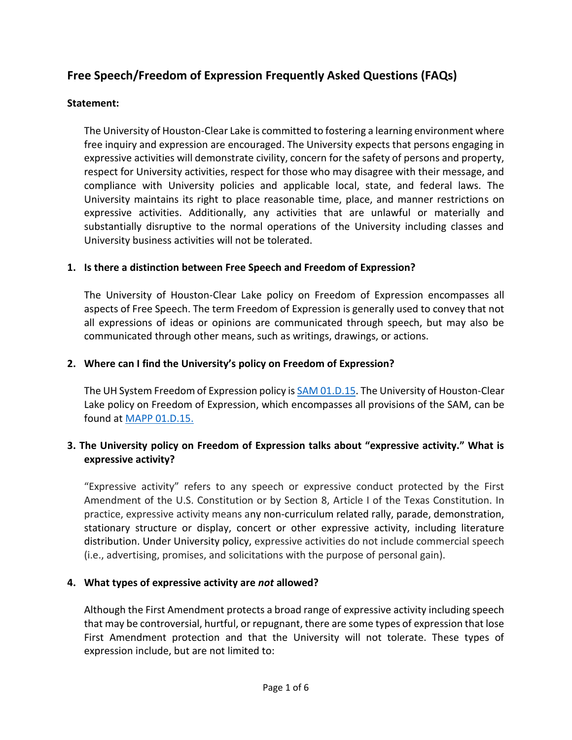# **Free Speech/Freedom of Expression Frequently Asked Questions (FAQs)**

## **Statement:**

The University of Houston-Clear Lake is committed to fostering a learning environment where free inquiry and expression are encouraged. The University expects that persons engaging in expressive activities will demonstrate civility, concern for the safety of persons and property, respect for University activities, respect for those who may disagree with their message, and compliance with University policies and applicable local, state, and federal laws. The University maintains its right to place reasonable time, place, and manner restrictions on expressive activities. Additionally, any activities that are unlawful or materially and substantially disruptive to the normal operations of the University including classes and University business activities will not be tolerated.

## **1. Is there a distinction between Free Speech and Freedom of Expression?**

The University of Houston-Clear Lake policy on Freedom of Expression encompasses all aspects of Free Speech. The term Freedom of Expression is generally used to convey that not all expressions of ideas or opinions are communicated through speech, but may also be communicated through other means, such as writings, drawings, or actions.

### **2. Where can I find the University's policy on Freedom of Expression?**

The UH System Freedom of Expression policy is [SAM 01.D.15.](https://uhsystem.edu/compliance-ethics/_docs/01d15.pdf) The University of Houston-Clear Lake policy on Freedom of Expression, which encompasses all provisions of the SAM, can be found at [MAPP 01.D.15.](https://uh.edu/policies/_docs/mapp/13/130101.pdf)

# **3. The University policy on Freedom of Expression talks about "expressive activity." What is expressive activity?**

"Expressive activity" refers to any speech or expressive conduct protected by the First Amendment of the U.S. Constitution or by Section 8, Article I of the Texas Constitution. In practice, expressive activity means any non-curriculum related rally, parade, demonstration, stationary structure or display, concert or other expressive activity, including literature distribution. Under University policy, expressive activities do not include commercial speech (i.e., advertising, promises, and solicitations with the purpose of personal gain).

## **4. What types of expressive activity are** *not* **allowed?**

Although the First Amendment protects a broad range of expressive activity including speech that may be controversial, hurtful, or repugnant, there are some types of expression that lose First Amendment protection and that the University will not tolerate. These types of expression include, but are not limited to: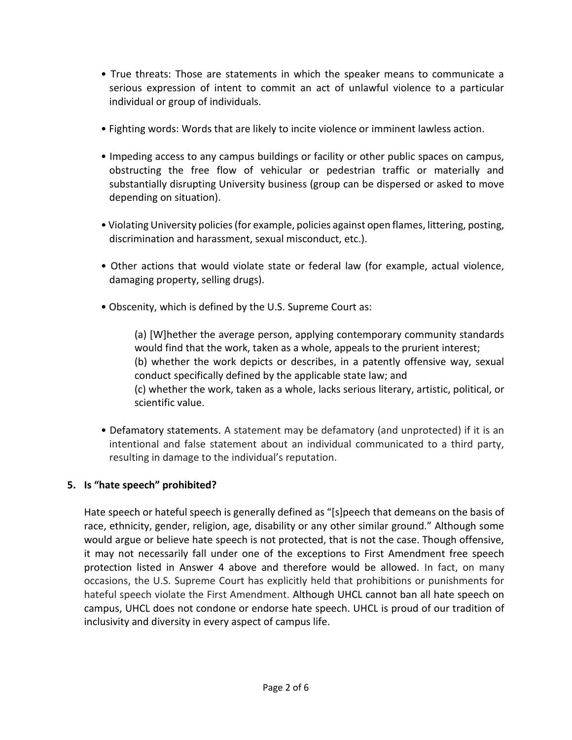- True threats: Those are statements in which the speaker means to communicate a serious expression of intent to commit an act of unlawful violence to a particular individual or group of individuals.
- Fighting words: Words that are likely to incite violence or imminent lawless action.
- Impeding access to any campus buildings or facility or other public spaces on campus, obstructing the free flow of vehicular or pedestrian traffic or materially and substantially disrupting University business (group can be dispersed or asked to move depending on situation).
- Violating University policies (for example, policies against open flames, littering, posting, discrimination and harassment, sexual misconduct, etc.).
- Other actions that would violate state or federal law (for example, actual violence, damaging property, selling drugs).
- Obscenity, which is defined by the U.S. Supreme Court as:

(a) [W]hether the average person, applying contemporary community standards would find that the work, taken as a whole, appeals to the prurient interest; (b) whether the work depicts or describes, in a patently offensive way, sexual conduct specifically defined by the applicable state law; and (c) whether the work, taken as a whole, lacks serious literary, artistic, political, or scientific value.

• Defamatory statements. A statement may be defamatory (and unprotected) if it is an intentional and false statement about an individual communicated to a third party, resulting in damage to the individual's reputation.

# **5. Is "hate speech" prohibited?**

Hate speech or hateful speech is generally defined as "[s]peech that demeans on the basis of race, ethnicity, gender, religion, age, disability or any other similar ground." Although some would argue or believe hate speech is not protected, that is not the case. Though offensive, it may not necessarily fall under one of the exceptions to First Amendment free speech protection listed in Answer 4 above and therefore would be allowed. In fact, on many occasions, the U.S. Supreme Court has explicitly held that prohibitions or punishments for hateful speech violate the First Amendment. Although UHCL cannot ban all hate speech on campus, UHCL does not condone or endorse hate speech. UHCL is proud of our tradition of inclusivity and diversity in every aspect of campus life.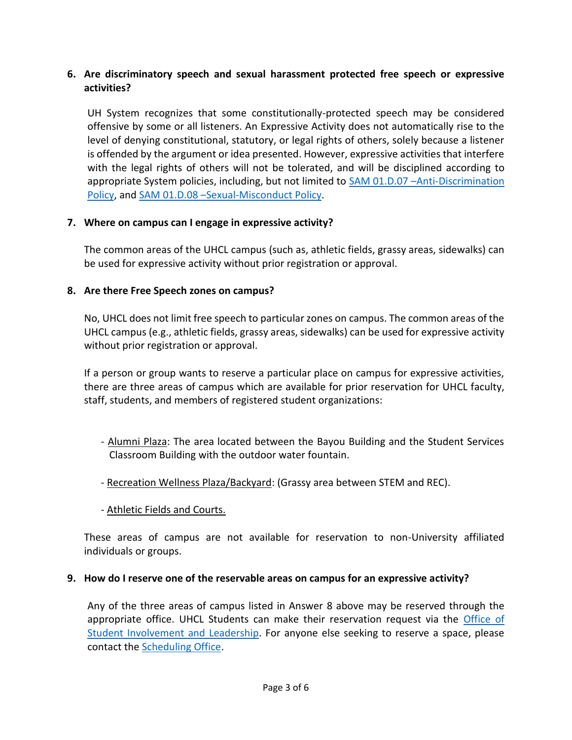## **6. Are discriminatory speech and sexual harassment protected free speech or expressive activities?**

UH System recognizes that some constitutionally-protected speech may be considered offensive by some or all listeners. An Expressive Activity does not automatically rise to the level of denying constitutional, statutory, or legal rights of others, solely because a listener is offended by the argument or idea presented. However, expressive activities that interfere with the legal rights of others will not be tolerated, and will be disciplined according to appropriate System policies, including, but not limited to **SAM 01.D.07** - Anti-Discrimination [Policy,](https://uhsystem.edu/compliance-ethics/_docs/sam/01/1d7.pdf) and SAM 01.D.08 -[Sexual-Misconduct Policy.](https://uhsystem.edu/compliance-ethics/_docs/sam/01/1d8.pdf)

## **7. Where on campus can I engage in expressive activity?**

The common areas of the UHCL campus (such as, athletic fields, grassy areas, sidewalks) can be used for expressive activity without prior registration or approval.

## **8. Are there Free Speech zones on campus?**

No, UHCL does not limit free speech to particular zones on campus. The common areas of the UHCL campus (e.g., athletic fields, grassy areas, sidewalks) can be used for expressive activity without prior registration or approval.

If a person or group wants to reserve a particular place on campus for expressive activities, there are three areas of campus which are available for prior reservation for UHCL faculty, staff, students, and members of registered student organizations:

- Alumni Plaza: The area located between the Bayou Building and the Student Services Classroom Building with the outdoor water fountain.
- Recreation Wellness Plaza/Backyard: (Grassy area between STEM and REC).
- Athletic Fields and Courts.

These areas of campus are not available for reservation to non-University affiliated individuals or groups.

#### **9. How do I reserve one of the reservable areas on campus for an expressive activity?**

Any of the three areas of campus listed in Answer 8 above may be reserved through the appropriate office. UHCL Students can make their reservation request via the Office of [Student Involvement and Leadership.](https://www.uhcl.edu/student-affairs/student-engagement/student-involvement/community-engagement/civic-engagement) For anyone else seeking to reserve a space, please contact the [Scheduling Office.](https://www.uhcl.edu/about/administrative-offices/facilities/scheduling/)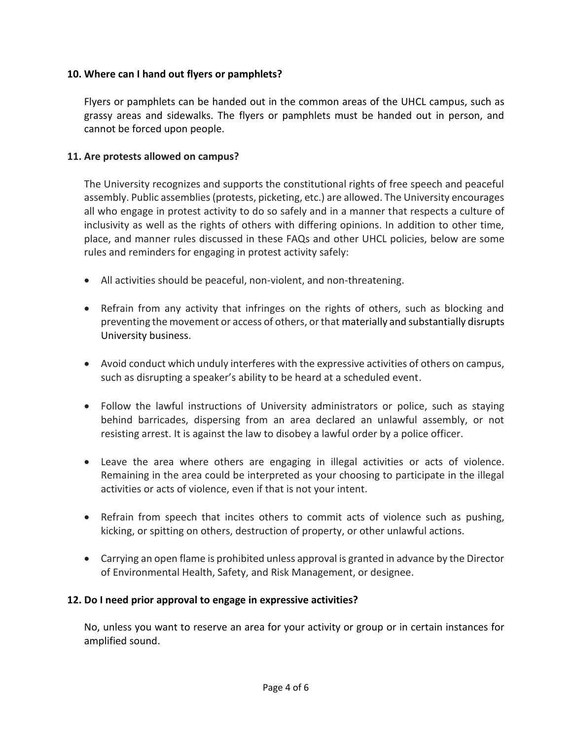## **10. Where can I hand out flyers or pamphlets?**

Flyers or pamphlets can be handed out in the common areas of the UHCL campus, such as grassy areas and sidewalks. The flyers or pamphlets must be handed out in person, and cannot be forced upon people.

### **11. Are protests allowed on campus?**

The University recognizes and supports the constitutional rights of free speech and peaceful assembly. Public assemblies (protests, picketing, etc.) are allowed. The University encourages all who engage in protest activity to do so safely and in a manner that respects a culture of inclusivity as well as the rights of others with differing opinions. In addition to other time, place, and manner rules discussed in these FAQs and other UHCL policies, below are some rules and reminders for engaging in protest activity safely:

- All activities should be peaceful, non-violent, and non-threatening.
- Refrain from any activity that infringes on the rights of others, such as blocking and preventing the movement or access of others, or that materially and substantially disrupts University business.
- Avoid conduct which unduly interferes with the expressive activities of others on campus, such as disrupting a speaker's ability to be heard at a scheduled event.
- Follow the lawful instructions of University administrators or police, such as staying behind barricades, dispersing from an area declared an unlawful assembly, or not resisting arrest. It is against the law to disobey a lawful order by a police officer.
- Leave the area where others are engaging in illegal activities or acts of violence. Remaining in the area could be interpreted as your choosing to participate in the illegal activities or acts of violence, even if that is not your intent.
- Refrain from speech that incites others to commit acts of violence such as pushing, kicking, or spitting on others, destruction of property, or other unlawful actions.
- Carrying an open flame is prohibited unless approval is granted in advance by the Director of Environmental Health, Safety, and Risk Management, or designee.

## **12. Do I need prior approval to engage in expressive activities?**

No, unless you want to reserve an area for your activity or group or in certain instances for amplified sound.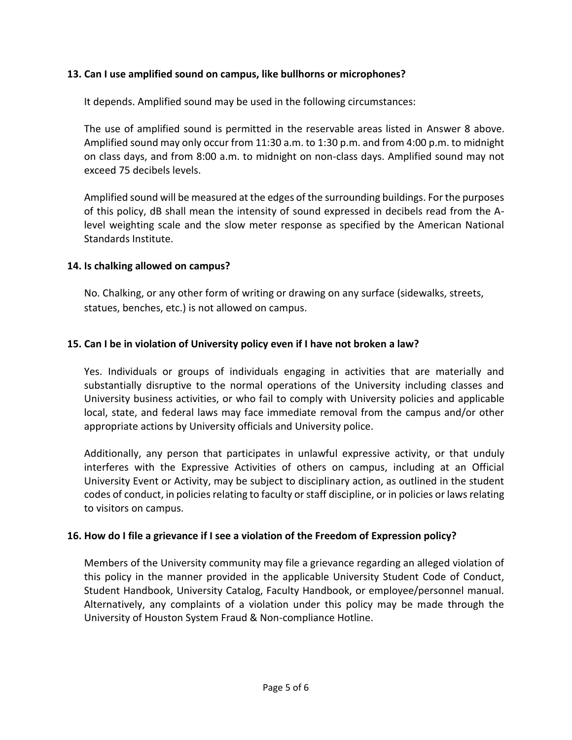## **13. Can I use amplified sound on campus, like bullhorns or microphones?**

It depends. Amplified sound may be used in the following circumstances:

The use of amplified sound is permitted in the reservable areas listed in Answer 8 above. Amplified sound may only occur from 11:30 a.m. to 1:30 p.m. and from 4:00 p.m. to midnight on class days, and from 8:00 a.m. to midnight on non-class days. Amplified sound may not exceed 75 decibels levels.

Amplified sound will be measured at the edges of the surrounding buildings. For the purposes of this policy, dB shall mean the intensity of sound expressed in decibels read from the Alevel weighting scale and the slow meter response as specified by the American National Standards Institute.

# **14. Is chalking allowed on campus?**

No. Chalking, or any other form of writing or drawing on any surface (sidewalks, streets, statues, benches, etc.) is not allowed on campus.

# **15. Can I be in violation of University policy even if I have not broken a law?**

Yes. Individuals or groups of individuals engaging in activities that are materially and substantially disruptive to the normal operations of the University including classes and University business activities, or who fail to comply with University policies and applicable local, state, and federal laws may face immediate removal from the campus and/or other appropriate actions by University officials and University police.

Additionally, any person that participates in unlawful expressive activity, or that unduly interferes with the Expressive Activities of others on campus, including at an Official University Event or Activity, may be subject to disciplinary action, as outlined in the student codes of conduct, in policies relating to faculty or staff discipline, or in policies or laws relating to visitors on campus.

## **16. How do I file a grievance if I see a violation of the Freedom of Expression policy?**

Members of the University community may file a grievance regarding an alleged violation of this policy in the manner provided in the applicable University Student Code of Conduct, Student Handbook, University Catalog, Faculty Handbook, or employee/personnel manual. Alternatively, any complaints of a violation under this policy may be made through the University of Houston System Fraud & Non-compliance Hotline.